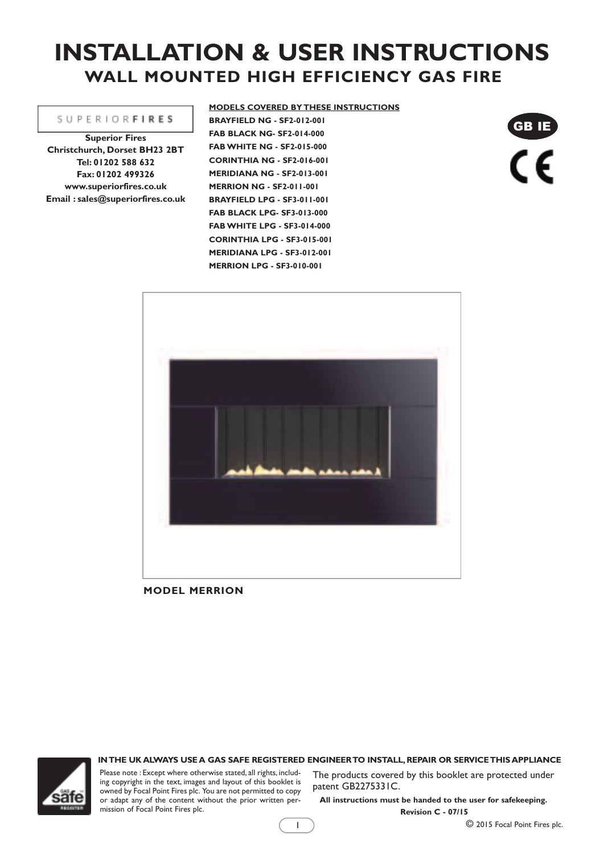# **INSTALLATION & USER INSTRUCTIONS WALL MOUNTED HIGH EFFICIENCY GAS FIRE**

**MODELS COVERED BY THESE INSTRUCTIONS**

#### **SUPERIORFIRES**

**Superior Fires Christchurch, Dorset BH23 2BT Tel: 01202 588 632 Fax: 01202 499326 www.superiorfires.co.uk Email : sales@superiorfires.co.uk** **BRAYFIELD NG - SF2-012-001 FAB BLACK NG- SF2-014-000 FABWHITE NG - SF2-015-000 CORINTHIA NG - SF2-016-001 MERIDIANA NG - SF2-013-001 MERRION NG - SF2-011-001 BRAYFIELD LPG - SF3-011-001 FAB BLACK LPG- SF3-013-000 FABWHITE LPG - SF3-014-000 CORINTHIA LPG - SF3-015-001 MERIDIANA LPG - SF3-012-001 MERRION LPG - SF3-010-001**

GB IE  $\overline{\mathsf{C}}$ 



**MODEL MERRION**

#### **INTHE UK ALWAYS USE A GAS SAFE REGISTERED ENGINEERTO INSTALL,REPAIR OR SERVICETHIS APPLIANCE**

1



Please note : Except where otherwise stated, all rights, including copyright in the text, images and layout of this booklet is owned by Focal Point Fires plc. You are not permitted to copy or adapt any of the content without the prior written permission of Focal Point Fires plc.

The products covered by this booklet are protected under patent GB2275331C.

**All instructions must be handed to the user for safekeeping. Revision C - 07/15**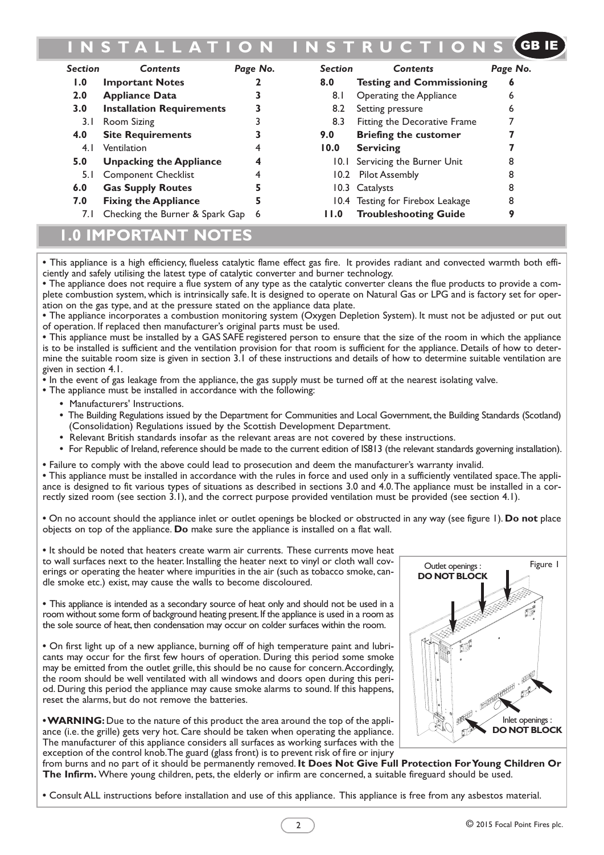#### **I N S T A L L A T I O N I N S T R U C T I O N S** GB IE

| <b>Section</b> | <b>Contents</b>                   | Page No. | <b>Section</b> | <b>Contents</b>                  | Page No. |
|----------------|-----------------------------------|----------|----------------|----------------------------------|----------|
| 1.0            | <b>Important Notes</b>            |          | 8.0            | <b>Testing and Commissioning</b> | 6        |
| 2.0            | <b>Appliance Data</b>             |          | 8.1            | Operating the Appliance          | 6        |
| 3.0            | <b>Installation Requirements</b>  |          | 8.2            | Setting pressure                 | 6        |
| 3. I           | Room Sizing                       |          | 8.3            | Fitting the Decorative Frame     |          |
| 4.0            | <b>Site Requirements</b>          |          | 9.0            | <b>Briefing the customer</b>     |          |
| 4.1            | Ventilation                       | 4        | 10.0           | <b>Servicing</b>                 |          |
| 5.0            | <b>Unpacking the Appliance</b>    | 4        |                | 10.1 Servicing the Burner Unit   |          |
| 5. I           | <b>Component Checklist</b>        |          |                | 10.2 Pilot Assembly              | 8        |
| 6.0            | <b>Gas Supply Routes</b>          |          |                | 10.3 Catalysts                   | 8        |
| 7.0            | <b>Fixing the Appliance</b>       | 5        |                | 10.4 Testing for Firebox Leakage | 8        |
| 7.I            | Checking the Burner & Spark Gap 6 |          | 11.0           | <b>Troubleshooting Guide</b>     | О        |

## **1.0 IMPORTANT NOTES**

**•** This appliance is a high efficiency, flueless catalytic flame effect gas fire. It provides radiant and convected warmth both efficiently and safely utilising the latest type of catalytic converter and burner technology.

**•** The appliance does not require a flue system of any type as the catalytic converter cleans the flue products to provide a complete combustion system, which is intrinsically safe. It is designed to operate on Natural Gas or LPG and is factory set for operation on the gas type, and at the pressure stated on the appliance data plate.

**•** The appliance incorporates a combustion monitoring system (Oxygen Depletion System). It must not be adjusted or put out of operation. If replaced then manufacturer's original parts must be used.

**•** This appliance must be installed by a GAS SAFE registered person to ensure that the size of the room in which the appliance is to be installed is sufficient and the ventilation provision for that room is sufficient for the appliance. Details of how to determine the suitable room size is given in section 3.1 of these instructions and details of how to determine suitable ventilation are given in section 4.1.

**•** In the event of gas leakage from the appliance, the gas supply must be turned off at the nearest isolating valve.

**•** The appliance must be installed in accordance with the following:

- **•** Manufacturers' Instructions.
- The Building Regulations issued by the Department for Communities and Local Government, the Building Standards (Scotland) (Consolidation) Regulations issued by the Scottish Development Department.
- **•** Relevant British standards insofar as the relevant areas are not covered by these instructions.
- For Republic of Ireland, reference should be made to the current edition of IS813 (the relevant standards governing installation).
- **•** Failure to comply with the above could lead to prosecution and deem the manufacturer's warranty invalid.

**•** This appliance must be installed in accordance with the rules in force and used only in a sufficiently ventilated space.The appliance is designed to fit various types of situations as described in sections 3.0 and 4.0.The appliance must be installed in a correctly sized room (see section 3.1), and the correct purpose provided ventilation must be provided (see section 4.1).

**•** On no account should the appliance inlet or outlet openings be blocked or obstructed in any way (see figure 1). **Do not** place objects on top of the appliance. **Do** make sure the appliance is installed on a flat wall.

**•** It should be noted that heaters create warm air currents. These currents move heat to wall surfaces next to the heater. Installing the heater next to vinyl or cloth wall coverings or operating the heater where impurities in the air (such as tobacco smoke, candle smoke etc.) exist, may cause the walls to become discoloured.

**•** This appliance is intended as a secondary source of heat only and should not be used in a room without some form of background heating present.If the appliance is used in a room as the sole source of heat, then condensation may occur on colder surfaces within the room.

**•** On first light up of a new appliance, burning off of high temperature paint and lubricants may occur for the first few hours of operation. During this period some smoke may be emitted from the outlet grille, this should be no cause for concern. Accordingly, the room should be well ventilated with all windows and doors open during this period. During this period the appliance may cause smoke alarms to sound. If this happens, reset the alarms, but do not remove the batteries.

**•WARNING:** Due to the nature of this product the area around the top of the appliance (i.e. the grille) gets very hot. Care should be taken when operating the appliance. The manufacturer of this appliance considers all surfaces as working surfaces with the exception of the control knob.The guard (glass front) is to prevent risk of fire or injury



from burns and no part of it should be permanently removed. **It Does Not Give Full Protection ForYoung Children Or The Infirm.** Where young children, pets, the elderly or infirm are concerned, a suitable fireguard should be used.

**•** Consult ALL instructions before installation and use of this appliance. This appliance is free from any asbestos material.

 $\overline{2}$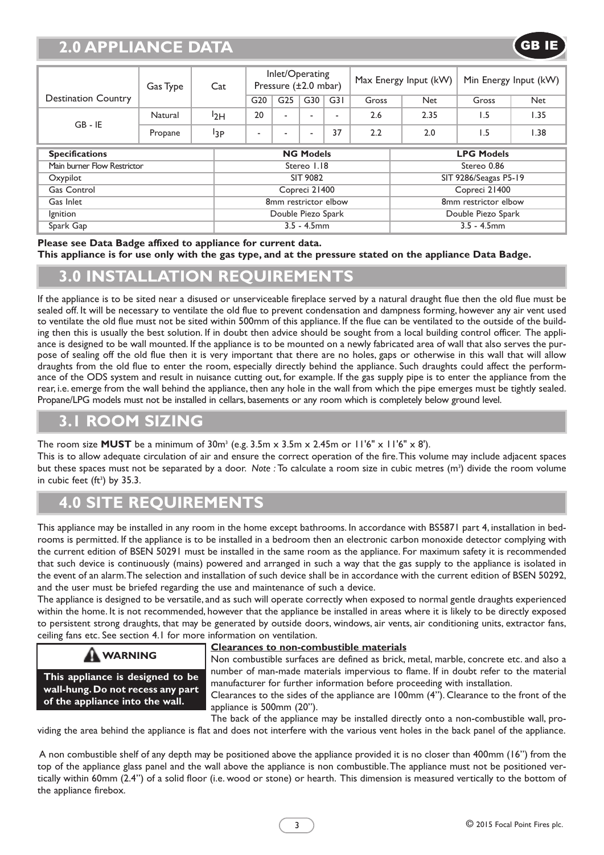# **2.0 APPLIANCE DATA**

| Gas Type                    |         | Cat              | Inlet/Operating<br>Pressure (±2.0 mbar) |                 |                | Max Energy Input (kW)    |                   | Min Energy Input (kW) |       |            |
|-----------------------------|---------|------------------|-----------------------------------------|-----------------|----------------|--------------------------|-------------------|-----------------------|-------|------------|
| <b>Destination Country</b>  |         |                  | G <sub>20</sub>                         | G <sub>25</sub> | G30            | G31                      | Gross             | <b>Net</b>            | Gross | <b>Net</b> |
| $GB - IE$                   | Natural | 12H              | 20                                      | ۰               |                | $\overline{\phantom{a}}$ | 2.6               | 2.35                  | 1.5   | 1.35       |
|                             | Propane | <sup>13</sup> P  | -                                       |                 | $\blacksquare$ | 37                       | 2.2               | 2.0                   | 1.5   | 1.38       |
| <b>Specifications</b>       |         | <b>NG Models</b> |                                         |                 |                |                          | <b>LPG Models</b> |                       |       |            |
| Main burner Flow Restrictor |         |                  | Stereo 1.18                             |                 |                |                          |                   | Stereo 0.86           |       |            |
| Oxypilot                    |         |                  | SIT 9082                                |                 |                |                          |                   | SIT 9286/Seagas P5-19 |       |            |
| Gas Control                 |         |                  | Copreci 21400                           |                 |                |                          |                   | Copreci 21400         |       |            |
| Gas Inlet                   |         |                  | 8mm restrictor elbow                    |                 |                |                          |                   | 8mm restrictor elbow  |       |            |
| Ignition                    |         |                  | Double Piezo Spark                      |                 |                |                          |                   | Double Piezo Spark    |       |            |
| Spark Gap                   |         |                  | $3.5 - 4.5$ mm                          |                 |                |                          |                   | $3.5 - 4.5$ mm        |       |            |

**Please see Data Badge affixed to appliance for current data.** This appliance is for use only with the gas type, and at the pressure stated on the appliance Data Badge.

## **3.0 INSTALLATION REQUIREMENTS**

If the appliance is to be sited near a disused or unserviceable fireplace served by a natural draught flue then the old flue must be sealed off. It will be necessary to ventilate the old flue to prevent condensation and dampness forming, however any air vent used to ventilate the old flue must not be sited within 500mm of this appliance. If the flue can be ventilated to the outside of the building then this is usually the best solution. If in doubt then advice should be sought from a local building control officer. The appliance is designed to be wall mounted. If the appliance is to be mounted on a newly fabricated area of wall that also serves the purpose of sealing off the old flue then it is very important that there are no holes, gaps or otherwise in this wall that will allow draughts from the old flue to enter the room, especially directly behind the appliance. Such draughts could affect the performance of the ODS system and result in nuisance cutting out, for example. If the gas supply pipe is to enter the appliance from the rear, i.e. emerge from the wall behind the appliance, then any hole in the wall from which the pipe emerges must be tightly sealed. Propane/LPG models must not be installed in cellars, basements or any room which is completely below ground level.

#### **3.1 ROOM SIZING**

The room size **MUST** be a minimum of  $30m^3$  (e.g.  $3.5m \times 3.5m \times 2.45m$  or  $11'6'' \times 11'6'' \times 8'$ ).

This is to allow adequate circulation of air and ensure the correct operation of the fire.This volume may include adjacent spaces but these spaces must not be separated by a door. Note : To calculate a room size in cubic metres (m<sup>3</sup>) divide the room volume in cubic feet (ft 3 ) by 35.3.

# **4.0 SITE REQUIREMENTS**

This appliance may be installed in any room in the home except bathrooms. In accordance with BS5871 part 4, installation in bedrooms is permitted. If the appliance is to be installed in a bedroom then an electronic carbon monoxide detector complying with the current edition of BSEN 50291 must be installed in the same room as the appliance. For maximum safety it is recommended that such device is continuously (mains) powered and arranged in such a way that the gas supply to the appliance is isolated in the event of an alarm.The selection and installation of such device shall be in accordance with the current edition of BSEN 50292, and the user must be briefed regarding the use and maintenance of such a device.

The appliance is designed to be versatile, and as such will operate correctly when exposed to normal gentle draughts experienced within the home. It is not recommended, however that the appliance be installed in areas where it is likely to be directly exposed to persistent strong draughts, that may be generated by outside doors, windows, air vents, air conditioning units, extractor fans, ceiling fans etc. See section 4.1 for more information on ventilation.

#### **WARNING**

**This appliance is designed to be wall-hung. Do not recess any part of the appliance into the wall.**

#### **Clearances to non-combustible materials**

Non combustible surfaces are defined as brick, metal, marble, concrete etc. and also a number of man-made materials impervious to flame. If in doubt refer to the material manufacturer for further information before proceeding with installation.

Clearances to the sides of the appliance are 100mm (4"). Clearance to the front of the appliance is 500mm (20").

The back of the appliance may be installed directly onto a non-combustible wall, providing the area behind the appliance is flat and does not interfere with the various vent holes in the back panel of the appliance.

A non combustible shelf of any depth may be positioned above the appliance provided it is no closer than 400mm (16") from the top of the appliance glass panel and the wall above the appliance is non combustible.The appliance must not be positioned vertically within 60mm (2.4") of a solid floor (i.e. wood or stone) or hearth. This dimension is measured vertically to the bottom of the appliance firebox.

GB IE

3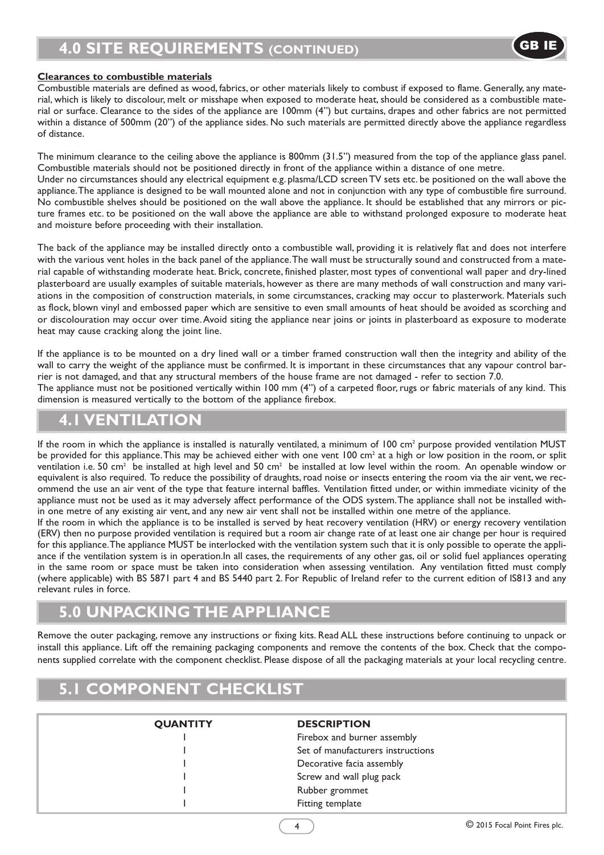# **4.0 SITE REQUIREMENTS (CONTINUED)**

#### **Clearances to combustible materials**

Combustible materials are defined as wood, fabrics, or other materials likely to combust if exposed to flame. Generally, any material, which is likely to discolour, melt or misshape when exposed to moderate heat,should be considered as a combustible material or surface. Clearance to the sides of the appliance are 100mm (4") but curtains, drapes and other fabrics are not permitted within a distance of 500mm (20") of the appliance sides. No such materials are permitted directly above the appliance regardless of distance.

The minimum clearance to the ceiling above the appliance is 800mm (31.5") measured from the top of the appliance glass panel. Combustible materials should not be positioned directly in front of the appliance within a distance of one metre. Under no circumstances should any electrical equipment e.g. plasma/LCD screenTV sets etc. be positioned on the wall above the appliance.The appliance is designed to be wall mounted alone and not in conjunction with any type of combustible fire surround.

No combustible shelves should be positioned on the wall above the appliance. It should be established that any mirrors or picture frames etc. to be positioned on the wall above the appliance are able to withstand prolonged exposure to moderate heat and moisture before proceeding with their installation.

The back of the appliance may be installed directly onto a combustible wall, providing it is relatively flat and does not interfere with the various vent holes in the back panel of the appliance.The wall must be structurally sound and constructed from a material capable of withstanding moderate heat. Brick, concrete, finished plaster, most types of conventional wall paper and dry-lined plasterboard are usually examples of suitable materials, however as there are many methods of wall construction and many variations in the composition of construction materials, in some circumstances, cracking may occur to plasterwork. Materials such as flock, blown vinyl and embossed paper which are sensitive to even small amounts of heat should be avoided as scorching and or discolouration may occur over time.Avoid siting the appliance near joins or joints in plasterboard as exposure to moderate heat may cause cracking along the joint line.

If the appliance is to be mounted on a dry lined wall or a timber framed construction wall then the integrity and ability of the wall to carry the weight of the appliance must be confirmed. It is important in these circumstances that any vapour control barrier is not damaged, and that any structural members of the house frame are not damaged - refer to section 7.0. The appliance must not be positioned vertically within 100 mm (4") of a carpeted floor, rugs or fabric materials of any kind. This dimension is measured vertically to the bottom of the appliance firebox.

#### **4.1 VENTILATION**

If the room in which the appliance is installed is naturally ventilated, a minimum of  $100 \text{ cm}^2$  purpose provided ventilation MUST be provided for this appliance. This may be achieved either with one vent 100 cm<sup>2</sup> at a high or low position in the room, or split ventilation i.e. 50 cm<sup>2</sup> be installed at high level and 50 cm<sup>2</sup> be installed at low level within the room. An openable window or equivalent is also required. To reduce the possibility of draughts, road noise or insects entering the room via the air vent, we recommend the use an air vent of the type that feature internal baffles. Ventilation fitted under, or within immediate vicinity of the appliance must not be used as it may adversely affect performance of the ODS system.The appliance shall not be installed within one metre of any existing air vent, and any new air vent shall not be installed within one metre of the appliance.

If the room in which the appliance is to be installed is served by heat recovery ventilation (HRV) or energy recovery ventilation (ERV) then no purpose provided ventilation is required but a room air change rate of at least one air change per hour is required for this appliance.The appliance MUST be interlocked with the ventilation system such that it is only possible to operate the appliance if the ventilation system is in operation.In all cases, the requirements of any other gas, oil or solid fuel appliances operating in the same room or space must be taken into consideration when assessing ventilation. Any ventilation fitted must comply (where applicable) with BS 5871 part 4 and BS 5440 part 2. For Republic of Ireland refer to the current edition of IS813 and any relevant rules in force.

#### **5.0 UNPACKING THE APPLIANCE**

Remove the outer packaging, remove any instructions or fixing kits. Read ALL these instructions before continuing to unpack or install this appliance. Lift off the remaining packaging components and remove the contents of the box. Check that the components supplied correlate with the component checklist. Please dispose of all the packaging materials at your local recycling centre.

# **5.1 COMPONENT CHECKLIST**

| <b>QUANTITY</b> | <b>DESCRIPTION</b>                |  |
|-----------------|-----------------------------------|--|
|                 | Firebox and burner assembly       |  |
|                 | Set of manufacturers instructions |  |
|                 | Decorative facia assembly         |  |
|                 | Screw and wall plug pack          |  |
|                 | Rubber grommet                    |  |
|                 | Fitting template                  |  |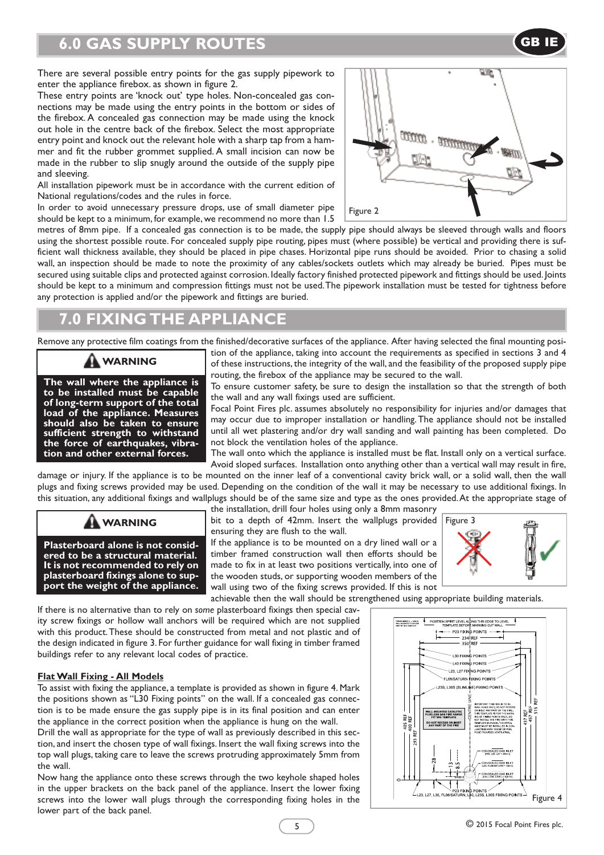# **6.0 GAS SUPPLY ROUTES**

There are several possible entry points for the gas supply pipework to enter the appliance firebox. as shown in figure 2.

These entry points are 'knock out' type holes. Non-concealed gas connections may be made using the entry points in the bottom or sides of the firebox. A concealed gas connection may be made using the knock out hole in the centre back of the firebox. Select the most appropriate entry point and knock out the relevant hole with a sharp tap from a hammer and fit the rubber grommet supplied. A small incision can now be made in the rubber to slip snugly around the outside of the supply pipe and sleeving.

All installation pipework must be in accordance with the current edition of National regulations/codes and the rules in force.

In order to avoid unnecessary pressure drops, use of small diameter pipe should be kept to a minimum, for example, we recommend no more than 1.5



GB IE

metres of 8mm pipe. If a concealed gas connection is to be made, the supply pipe should always be sleeved through walls and floors using the shortest possible route. For concealed supply pipe routing, pipes must (where possible) be vertical and providing there is sufficient wall thickness available, they should be placed in pipe chases. Horizontal pipe runs should be avoided. Prior to chasing a solid wall, an inspection should be made to note the proximity of any cables/sockets outlets which may already be buried. Pipes must be secured using suitable clips and protected against corrosion. Ideally factory finished protected pipework and fittings should be used. Joints should be kept to a minimum and compression fittings must not be used.The pipework installation must be tested for tightness before any protection is applied and/or the pipework and fittings are buried.

# **7.0 FIXING THE APPLIANCE**

Remove any protective film coatings from the finished/decorative surfaces of the appliance. After having selected the final mounting posi-

#### **WARNING**

**The wall where the appliance is to be installed must be capable of long-term support of the total load of the appliance. Measures should also be taken to ensure sufficient strength to withstand the force of earthquakes, vibra- tion and other external forces.**

tion of the appliance, taking into account the requirements as specified in sections 3 and 4 of these instructions, the integrity of the wall, and the feasibility of the proposed supply pipe routing, the firebox of the appliance may be secured to the wall.

To ensure customer safety, be sure to design the installation so that the strength of both the wall and any wall fixings used are sufficient.

Focal Point Fires plc. assumes absolutely no responsibility for injuries and/or damages that may occur due to improper installation or handling.The appliance should not be installed until all wet plastering and/or dry wall sanding and wall painting has been completed. Do not block the ventilation holes of the appliance.

The wall onto which the appliance is installed must be flat. Install only on a vertical surface. Avoid sloped surfaces. Installation onto anything other than a vertical wall may result in fire,

damage or injury. If the appliance is to be mounted on the inner leaf of a conventional cavity brick wall, or a solid wall, then the wall plugs and fixing screws provided may be used. Depending on the condition of the wall it may be necessary to use additional fixings. In this situation, any additional fixings and wallplugs should be of the same size and type as the ones provided.At the appropriate stage of



**Plasterboard alone is not considered to be a structural material. It is not recommended to rely on plasterboard fixings alone to support the weight of the appliance.**

the installation, drill four holes using only a 8mm masonry **WARNING** bit to a depth of 42mm. Insert the wallplugs provided Figure 3 ensuring they are flush to the wall.

> If the appliance is to be mounted on a dry lined wall or a timber framed construction wall then efforts should be made to fix in at least two positions vertically, into one of the wooden studs, or supporting wooden members of the wall using two of the fixing screws provided. If this is not



achievable then the wall should be strengthened using appropriate building materials.

If there is no alternative than to rely on *some* plasterboard fixings then special cavity screw fixings or hollow wall anchors will be required which are not supplied with this product.These should be constructed from metal and not plastic and of the design indicated in figure 3. For further guidance for wall fixing in timber framed buildings refer to any relevant local codes of practice.

#### **FlatWall Fixing - All Models**

To assist with fixing the appliance, a template is provided as shown in figure 4. Mark the positions shown as "L30 Fixing points" on the wall. If a concealed gas connection is to be made ensure the gas supply pipe is in its final position and can enter the appliance in the correct position when the appliance is hung on the wall.

Drill the wall as appropriate for the type of wall as previously described in this section, and insert the chosen type of wall fixings. Insert the wall fixing screws into the top wall plugs, taking care to leave the screws protruding approximately 5mm from the wall.

Now hang the appliance onto these screws through the two keyhole shaped holes in the upper brackets on the back panel of the appliance. Insert the lower fixing screws into the lower wall plugs through the corresponding fixing holes in the lower part of the back panel.

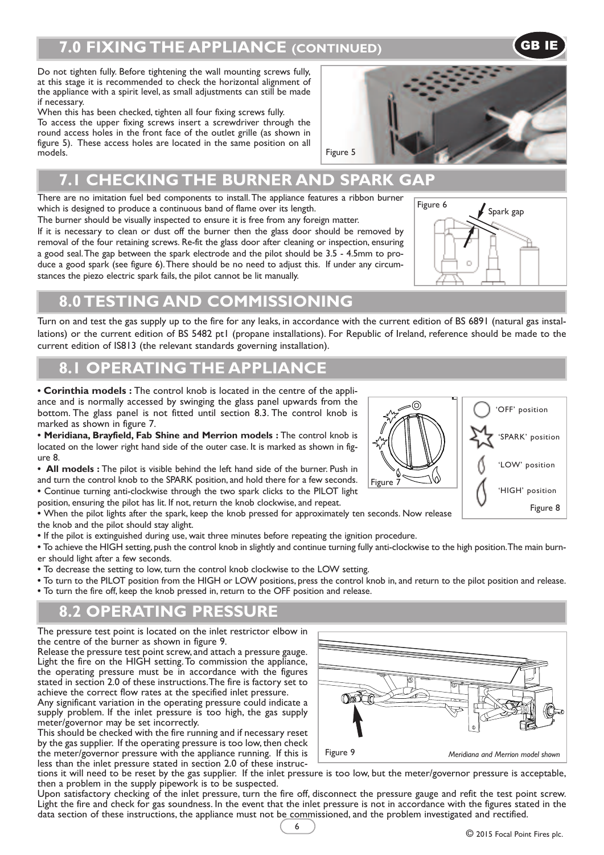# **7.0 FIXING THE APPLIANCE (CONTINUED)** GB IE

Do not tighten fully. Before tightening the wall mounting screws fully, at this stage it is recommended to check the horizontal alignment of the appliance with a spirit level, as small adjustments can still be made if necessary.

When this has been checked, tighten all four fixing screws fully. To access the upper fixing screws insert a screwdriver through the round access holes in the front face of the outlet grille (as shown in figure 5). These access holes are located in the same position on all models.

# **7.1 CHECKING THE BURNER AND SPARK GAP**

There are no imitation fuel bed components to install.The appliance features a ribbon burner which is designed to produce a continuous band of flame over its length.

The burner should be visually inspected to ensure it is free from any foreign matter. If it is necessary to clean or dust off the burner then the glass door should be removed by removal of the four retaining screws. Re-fit the glass door after cleaning or inspection, ensuring a good seal.The gap between the spark electrode and the pilot should be 3.5 - 4.5mm to produce a good spark (see figure 6).There should be no need to adjust this. If under any circumstances the piezo electric spark fails, the pilot cannot be lit manually.

# **8.0 TESTING AND COMMISSIONING**

Turn on and test the gas supply up to the fire for any leaks, in accordance with the current edition of BS 6891 (natural gas installations) or the current edition of BS 5482 pt1 (propane installations). For Republic of Ireland, reference should be made to the current edition of IS813 (the relevant standards governing installation).

## **8.1 OPERATING THE APPLIANCE**

**• Corinthia models :** The control knob is located in the centre of the appliance and is normally accessed by swinging the glass panel upwards from the bottom. The glass panel is not fitted until section 8.3. The control knob is marked as shown in figure 7.

**• Meridiana, Brayfield, Fab Shine and Merrion models :** The control knob is located on the lower right hand side of the outer case. It is marked as shown in figure 8.

**• All models :** The pilot is visible behind the left hand side of the burner. Push in and turn the control knob to the SPARK position, and hold there for a few seconds. **•** Continue turning anti-clockwise through the two spark clicks to the PILOT light position, ensuring the pilot has lit. If not, return the knob clockwise, and repeat.

**•** When the pilot lights after the spark, keep the knob pressed for approximately ten seconds. Now release the knob and the pilot should stay alight.

**•** If the pilot is extinguished during use, wait three minutes before repeating the ignition procedure.

**•** To achieve the HIGH setting, push the control knob in slightly and continue turning fully anti-clockwise to the high position.The main burner should light after a few seconds.

**•** To decrease the setting to low, turn the control knob clockwise to the LOW setting. A

**•** To turn to the PILOT position from the HIGH or LOW positions, press the control knob in, and return to the pilot position and release. • To turn the fire off, keep the knob pressed in, return to the OFF position and release.

# **8.2 OPERATING PRESSURE**

The pressure test point is located on the inlet restrictor elbow in the centre of the burner as shown in figure 9.

Release the pressure test point screw, and attach a pressure gauge. Light the fire on the HIGH setting.To commission the appliance, the operating pressure must be in accordance with the figures stated in section 2.0 of these instructions.The fire is factory set to achieve the correct flow rates at the specified inlet pressure.

Any significant variation in the operating pressure could indicate a supply problem. If the inlet pressure is too high, the gas supply meter/governor may be set incorrectly.

This should be checked with the fire running and if necessary reset by the gas supplier. If the operating pressure is too low,then check the meter/governor pressure with the appliance running. If this is less than the inlet pressure stated in section 2.0 of these instruc-

tions it will need to be reset by the gas supplier. If the inlet pressure is too low, but the meter/governor pressure is acceptable, then a problem in the supply pipework is to be suspected.

Upon satisfactory checking of the inlet pressure, turn the fire off, disconnect the pressure gauge and refit the test point screw. Light the fire and check for gas soundness. In the event that the inlet pressure is not in accordance with the figures stated in the data section of these instructions, the appliance must not be commissioned, and the problem investigated and rectified.



#### ര 'OFF' position 'SPARK' position 'LOW' position Figure 7 'HIGH' position Figure 8



Figure 6

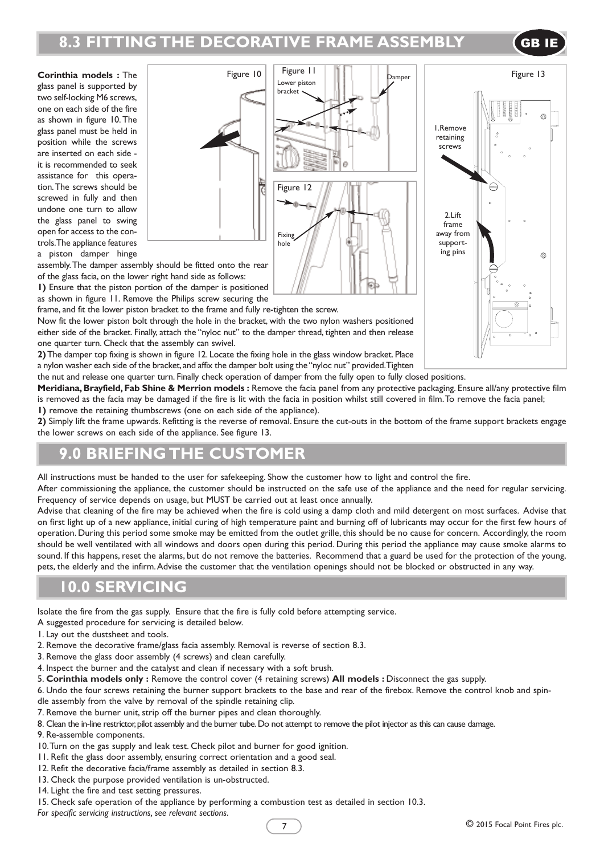# **8.3 FITTING THE DECORATIVE FRAME ASSEMBLY GB**

**Corinthia models :** The glass panel is supported by two self-locking M6 screws, one on each side of the fire as shown in figure 10. The glass panel must be held in position while the screws are inserted on each side it is recommended to seek assistance for this operation.The screws should be screwed in fully and then undone one turn to allow the glass panel to swing open for access to the controls.The appliance features a piston damper hinge





assembly.The damper assembly should be fitted onto the rear of the glass facia, on the lower right hand side as follows:

**1)** Ensure that the piston portion of the damper is positioned as shown in figure 11. Remove the Philips screw securing the

frame, and fit the lower piston bracket to the frame and fully re-tighten the screw.

Now fit the lower piston bolt through the hole in the bracket, with the two nylon washers positioned either side of the bracket. Finally, attach the "nyloc nut" to the damper thread, tighten and then release one quarter turn. Check that the assembly can swivel.

**2)**The damper top fixing is shown in figure 12. Locate the fixing hole in the glass window bracket. Place a nylon washer each side of the bracket, and affix the damper bolt using the"nyloc nut" provided.Tighten

the nut and release one quarter turn. Finally check operation of damper from the fully open to fully closed positions.

**Meridiana,Brayfield,Fab Shine & Merrion models :** Remove the facia panel from any protective packaging. Ensure all/any protective film is removed as the facia may be damaged if the fire is lit with the facia in position whilst still covered in film.To remove the facia panel; **1)** remove the retaining thumbscrews (one on each side of the appliance).

**2)** Simply lift the frame upwards. Refitting is the reverse of removal. Ensure the cut-outs in the bottom of the frame support brackets engage the lower screws on each side of the appliance. See figure 13.

## **9.0 BRIEFING THE CUSTOMER**

All instructions must be handed to the user for safekeeping. Show the customer how to light and control the fire.

After commissioning the appliance, the customer should be instructed on the safe use of the appliance and the need for regular servicing. Frequency of service depends on usage, but MUST be carried out at least once annually.

Advise that cleaning of the fire may be achieved when the fire is cold using a damp cloth and mild detergent on most surfaces. Advise that on first light up of a new appliance, initial curing of high temperature paint and burning off of lubricants may occur for the first few hours of operation. During this period some smoke may be emitted from the outlet grille, this should be no cause for concern. Accordingly, the room should be well ventilated with all windows and doors open during this period. During this period the appliance may cause smoke alarms to sound. If this happens, reset the alarms, but do not remove the batteries. Recommend that a guard be used for the protection of the young, pets, the elderly and the infirm.Advise the customer that the ventilation openings should not be blocked or obstructed in any way.

#### **10.0 SERVICING**

Isolate the fire from the gas supply. Ensure that the fire is fully cold before attempting service.

- A suggested procedure for servicing is detailed below.
- 1. Lay out the dustsheet and tools.
- 2. Remove the decorative frame/glass facia assembly. Removal is reverse of section 8.3.
- 3. Remove the glass door assembly (4 screws) and clean carefully.
- 4. Inspect the burner and the catalyst and clean if necessary with a soft brush.
- 5. **Corinthia models only :** Remove the control cover (4 retaining screws) **All models :** Disconnect the gas supply.

6. Undo the four screws retaining the burner support brackets to the base and rear of the firebox. Remove the control knob and spindle assembly from the valve by removal of the spindle retaining clip.

- 7. Remove the burner unit, strip off the burner pipes and clean thoroughly.
- 8. Clean the in-line restrictor, pilot assembly and the burner tube. Do not attempt to remove the pilot injector as this can cause damage.
- 9. Re-assemble components.
- 10.Turn on the gas supply and leak test. Check pilot and burner for good ignition.
- 11. Refit the glass door assembly, ensuring correct orientation and a good seal.
- 12. Refit the decorative facia/frame assembly as detailed in section 8.3.
- 13. Check the purpose provided ventilation is un-obstructed.
- 14. Light the fire and test setting pressures.

15. Check safe operation of the appliance by performing a combustion test as detailed in section 10.3.

*For specific servicing instructions, see relevant sections.*

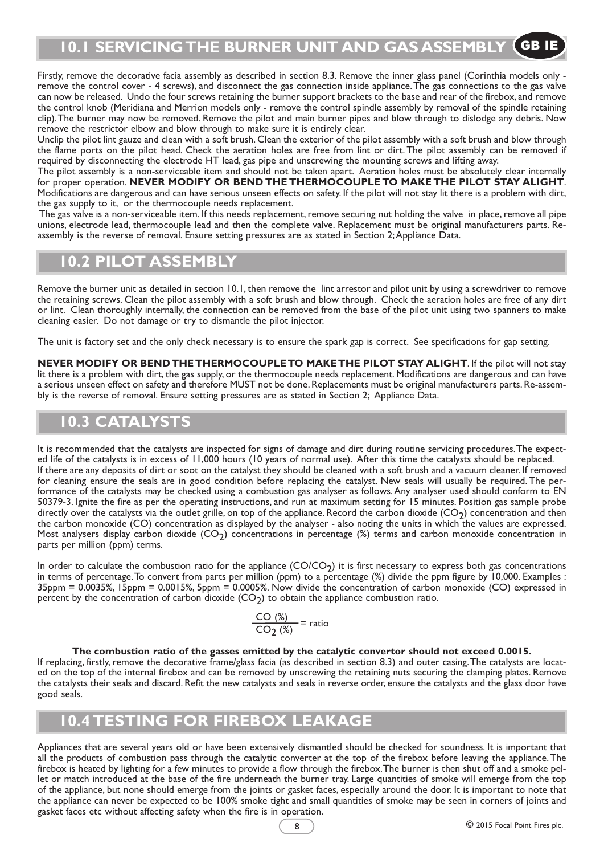Firstly, remove the decorative facia assembly as described in section 8.3. Remove the inner glass panel (Corinthia models only remove the control cover - 4 screws), and disconnect the gas connection inside appliance.The gas connections to the gas valve can now be released. Undo the four screws retaining the burner support brackets to the base and rear of the firebox, and remove the control knob (Meridiana and Merrion models only - remove the control spindle assembly by removal of the spindle retaining clip).The burner may now be removed. Remove the pilot and main burner pipes and blow through to dislodge any debris. Now remove the restrictor elbow and blow through to make sure it is entirely clear.

Unclip the pilot lint gauze and clean with a soft brush. Clean the exterior of the pilot assembly with a soft brush and blow through the flame ports on the pilot head. Check the aeration holes are free from lint or dirt. The pilot assembly can be removed if required by disconnecting the electrode HT lead, gas pipe and unscrewing the mounting screws and lifting away.

The pilot assembly is a non-serviceable item and should not be taken apart. Aeration holes must be absolutely clear internally for proper operation. **NEVER MODIFY OR BEND THE THERMOCOUPLE TO MAKE THE PILOT STAY ALIGHT**. Modifications are dangerous and can have serious unseen effects on safety. If the pilot will not stay lit there is a problem with dirt, the gas supply to it, or the thermocouple needs replacement.

The gas valve is a non-serviceable item. If this needs replacement, remove securing nut holding the valve in place, remove all pipe unions, electrode lead, thermocouple lead and then the complete valve. Replacement must be original manufacturers parts. Reassembly is the reverse of removal. Ensure setting pressures are as stated in Section 2;Appliance Data.

# **10.2 PILOT ASSEMBLY**

Remove the burner unit as detailed in section 10.1, then remove the lint arrestor and pilot unit by using a screwdriver to remove the retaining screws. Clean the pilot assembly with a soft brush and blow through. Check the aeration holes are free of any dirt or lint. Clean thoroughly internally, the connection can be removed from the base of the pilot unit using two spanners to make cleaning easier. Do not damage or try to dismantle the pilot injector.

The unit is factory set and the only check necessary is to ensure the spark gap is correct. See specifications for gap setting.

**NEVER MODIFY OR BENDTHETHERMOCOUPLETO MAKETHE PILOT STAY ALIGHT**. If the pilot will not stay lit there is a problem with dirt, the gas supply, or the thermocouple needs replacement. Modifications are dangerous and can have a serious unseen effect on safety and therefore MUST not be done. Replacements must be original manufacturers parts. Re-assembly is the reverse of removal. Ensure setting pressures are as stated in Section 2; Appliance Data.

## **10.3 CATALYSTS**

It is recommended that the catalysts are inspected for signs of damage and dirt during routine servicing procedures.The expected life of the catalysts is in excess of 11,000 hours (10 years of normal use). After this time the catalysts should be replaced. If there are any deposits of dirt or soot on the catalyst they should be cleaned with a soft brush and a vacuum cleaner. If removed for cleaning ensure the seals are in good condition before replacing the catalyst. New seals will usually be required. The performance of the catalysts may be checked using a combustion gas analyser as follows.Any analyser used should conform to EN 50379-3. Ignite the fire as per the operating instructions, and run at maximum setting for 15 minutes. Position gas sample probe directly over the catalysts via the outlet grille, on top of the appliance. Record the carbon dioxide  $(CO<sub>2</sub>)$  concentration and then the carbon monoxide (CO) concentration as displayed by the analyser - also noting the units in which the values are expressed. Most analysers display carbon dioxide  $(CO_2)$  concentrations in percentage (%) terms and carbon monoxide concentration in parts per million (ppm) terms.

In order to calculate the combustion ratio for the appliance  $(CO/CO<sub>2</sub>)$  it is first necessary to express both gas concentrations in terms of percentage.To convert from parts per million (ppm) to a percentage (%) divide the ppm figure by 10,000. Examples : 35ppm = 0.0035%, 15ppm = 0.0015%, 5ppm = 0.0005%. Now divide the concentration of carbon monoxide (CO) expressed in percent by the concentration of carbon dioxide  $(CO<sub>2</sub>)$  to obtain the appliance combustion ratio.

$$
\frac{CO(%)}{CO_2(%)} = ratio
$$

#### **The combustion ratio of the gasses emitted by the catalytic convertor should not exceed 0.0015.**

If replacing, firstly, remove the decorative frame/glass facia (as described in section 8.3) and outer casing.The catalysts are located on the top of the internal firebox and can be removed by unscrewing the retaining nuts securing the clamping plates. Remove the catalysts their seals and discard. Refit the new catalysts and seals in reverse order, ensure the catalysts and the glass door have good seals.

#### **10.4 TESTING FOR FIREBOX LEAKAGE**

Appliances that are several years old or have been extensively dismantled should be checked for soundness. It is important that all the products of combustion pass through the catalytic converter at the top of the firebox before leaving the appliance.The firebox is heated by lighting for a few minutes to provide a flow through the firebox.The burner is then shut off and a smoke pellet or match introduced at the base of the fire underneath the burner tray. Large quantities of smoke will emerge from the top of the appliance, but none should emerge from the joints or gasket faces, especially around the door. It is important to note that the appliance can never be expected to be 100% smoke tight and small quantities of smoke may be seen in corners of joints and gasket faces etc without affecting safety when the fire is in operation.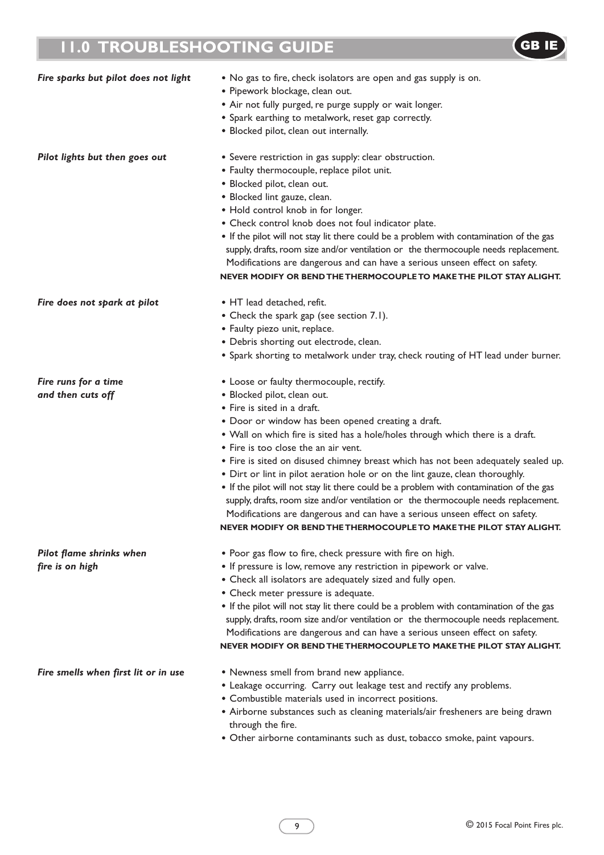# **11.0 TROUBLESHOOTING GUIDE GB**



| <b>THE PERIOD STREET IN STREET STREET STREET</b> |                                                                                                                                                                                                                                                                                                                                                                                                                                                                                                                                                                                                                                                                                                                                                                                                        |  |  |  |  |
|--------------------------------------------------|--------------------------------------------------------------------------------------------------------------------------------------------------------------------------------------------------------------------------------------------------------------------------------------------------------------------------------------------------------------------------------------------------------------------------------------------------------------------------------------------------------------------------------------------------------------------------------------------------------------------------------------------------------------------------------------------------------------------------------------------------------------------------------------------------------|--|--|--|--|
| Fire sparks but pilot does not light             | • No gas to fire, check isolators are open and gas supply is on.<br>· Pipework blockage, clean out.<br>• Air not fully purged, re purge supply or wait longer.<br>• Spark earthing to metalwork, reset gap correctly.<br>· Blocked pilot, clean out internally.                                                                                                                                                                                                                                                                                                                                                                                                                                                                                                                                        |  |  |  |  |
| Pilot lights but then goes out                   | • Severe restriction in gas supply: clear obstruction.<br>• Faulty thermocouple, replace pilot unit.<br>· Blocked pilot, clean out.<br>· Blocked lint gauze, clean.<br>• Hold control knob in for longer.<br>• Check control knob does not foul indicator plate.<br>• If the pilot will not stay lit there could be a problem with contamination of the gas<br>supply, drafts, room size and/or ventilation or the thermocouple needs replacement.<br>Modifications are dangerous and can have a serious unseen effect on safety.<br>NEVER MODIFY OR BEND THE THERMOCOUPLE TO MAKE THE PILOT STAY ALIGHT.                                                                                                                                                                                              |  |  |  |  |
| Fire does not spark at pilot                     | • HT lead detached, refit.<br>• Check the spark gap (see section 7.1).<br>• Faulty piezo unit, replace.<br>· Debris shorting out electrode, clean.<br>• Spark shorting to metalwork under tray, check routing of HT lead under burner.                                                                                                                                                                                                                                                                                                                                                                                                                                                                                                                                                                 |  |  |  |  |
| Fire runs for a time<br>and then cuts off        | • Loose or faulty thermocouple, rectify.<br>· Blocked pilot, clean out.<br>• Fire is sited in a draft.<br>• Door or window has been opened creating a draft.<br>• Wall on which fire is sited has a hole/holes through which there is a draft.<br>• Fire is too close the an air vent.<br>• Fire is sited on disused chimney breast which has not been adequately sealed up.<br>• Dirt or lint in pilot aeration hole or on the lint gauze, clean thoroughly.<br>• If the pilot will not stay lit there could be a problem with contamination of the gas<br>supply, drafts, room size and/or ventilation or the thermocouple needs replacement.<br>Modifications are dangerous and can have a serious unseen effect on safety.<br>NEVER MODIFY OR BEND THE THERMOCOUPLE TO MAKE THE PILOT STAY ALIGHT. |  |  |  |  |
| Pilot flame shrinks when<br>fire is on high      | • Poor gas flow to fire, check pressure with fire on high.<br>• If pressure is low, remove any restriction in pipework or valve.<br>• Check all isolators are adequately sized and fully open.<br>• Check meter pressure is adequate.<br>• If the pilot will not stay lit there could be a problem with contamination of the gas                                                                                                                                                                                                                                                                                                                                                                                                                                                                       |  |  |  |  |

- *Fire smells when first lit or in use* Newness smell from brand new appliance.
	- Leakage occurring. Carry out leakage test and rectify any problems.
	- Combustible materials used in incorrect positions.
	- Airborne substances such as cleaning materials/air fresheners are being drawn through the fire.

supply, drafts, room size and/or ventilation or the thermocouple needs replacement. Modifications are dangerous and can have a serious unseen effect on safety. **NEVER MODIFY OR BENDTHETHERMOCOUPLETO MAKETHE PILOT STAY ALIGHT.**

• Other airborne contaminants such as dust, tobacco smoke, paint vapours.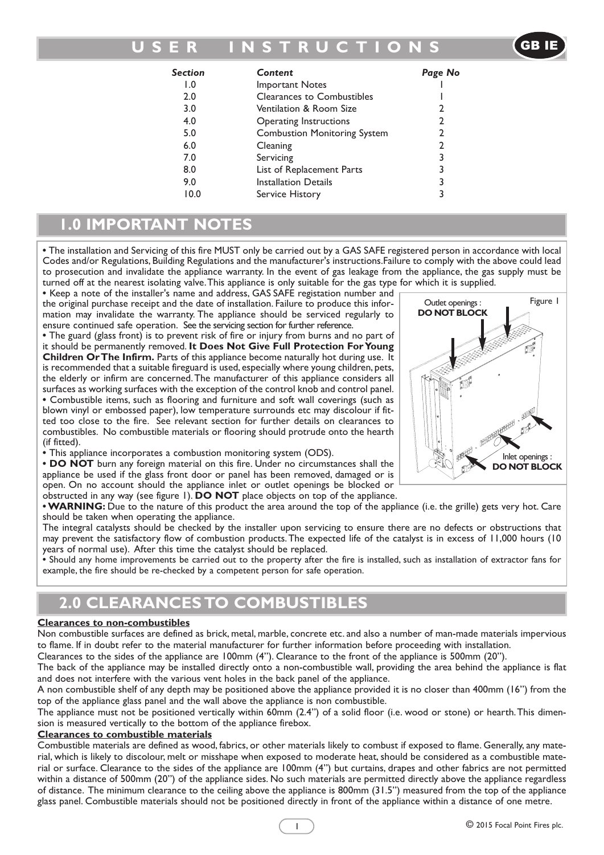## **U S E R I N S T R U C T I O N S**

GB IE

| Section | Content                             | Page No        |
|---------|-------------------------------------|----------------|
| 0. ا    | <b>Important Notes</b>              |                |
| 2.0     | Clearances to Combustibles          |                |
| 3.0     | Ventilation & Room Size             | 2              |
| 4.0     | Operating Instructions              | 2              |
| 5.0     | <b>Combustion Monitoring System</b> | $\overline{2}$ |
| 6.0     | Cleaning                            | 2              |
| 7.0     | Servicing                           | 3              |
| 8.0     | List of Replacement Parts           | 3              |
| 9.0     | <b>Installation Details</b>         | 3              |
| 10.0    | Service History                     | 3              |
|         |                                     |                |

## **1.0 IMPORTANT NOTES**

**•** The installation and Servicing of this fire MUST only be carried out by a GAS SAFE registered person in accordance with local Codes and/or Regulations, Building Regulations and the manufacturer's instructions.Failure to comply with the above could lead to prosecution and invalidate the appliance warranty. In the event of gas leakage from the appliance, the gas supply must be turned off at the nearest isolating valve.This appliance is only suitable for the gas type for which it is supplied.

**•** Keep a note of the installer's name and address, GAS SAFE registation number and the original purchase receipt and the date of installation. Failure to produce this information may invalidate the warranty. The appliance should be serviced regularly to ensure continued safe operation. See the servicing section for further reference.

**•** The guard (glass front) is to prevent risk of fire or injury from burns and no part of it should be permanently removed. **It Does Not Give Full Protection ForYoung Children OrThe Infirm.** Parts of this appliance become naturally hot during use. It is recommended that a suitable fireguard is used, especially where young children, pets, the elderly or infirm are concerned.The manufacturer of this appliance considers all surfaces as working surfaces with the exception of the control knob and control panel. **•** Combustible items, such as flooring and furniture and soft wall coverings (such as blown vinyl or embossed paper), low temperature surrounds etc may discolour if fitted too close to the fire. See relevant section for further details on clearances to combustibles. No combustible materials or flooring should protrude onto the hearth (if fitted).

**•** This appliance incorporates a combustion monitoring system (ODS).

**• DO NOT** burn any foreign material on this fire. Under no circumstances shall the appliance be used if the glass front door or panel has been removed, damaged or is open. On no account should the appliance inlet or outlet openings be blocked or obstructed in any way (see figure 1). **DO NOT** place objects on top of the appliance.

**•WARNING:** Due to the nature of this product the area around the top of the appliance (i.e. the grille) gets very hot. Care should be taken when operating the appliance.

The integral catalysts should be checked by the installer upon servicing to ensure there are no defects or obstructions that may prevent the satisfactory flow of combustion products.The expected life of the catalyst is in excess of 11,000 hours (10 years of normal use). After this time the catalyst should be replaced.

**•** Should any home improvements be carried out to the property after the fire is installed, such as installation of extractor fans for example, the fire should be re-checked by a competent person for safe operation.

# **2.0 CLEARANCES TO COMBUSTIBLES**

#### **Clearances to non-combustibles**

Non combustible surfaces are defined as brick, metal, marble, concrete etc. and also a number of man-made materials impervious to flame. If in doubt refer to the material manufacturer for further information before proceeding with installation.

Clearances to the sides of the appliance are 100mm (4"). Clearance to the front of the appliance is 500mm (20").

The back of the appliance may be installed directly onto a non-combustible wall, providing the area behind the appliance is flat and does not interfere with the various vent holes in the back panel of the appliance.

A non combustible shelf of any depth may be positioned above the appliance provided it is no closer than 400mm (16") from the top of the appliance glass panel and the wall above the appliance is non combustible.

The appliance must not be positioned vertically within 60mm (2.4") of a solid floor (i.e. wood or stone) or hearth.This dimension is measured vertically to the bottom of the appliance firebox.

#### **Clearances to combustible materials**

Combustible materials are defined as wood, fabrics, or other materials likely to combust if exposed to flame. Generally, any material, which is likely to discolour, melt or misshape when exposed to moderate heat, should be considered as a combustible material or surface. Clearance to the sides of the appliance are 100mm (4") but curtains, drapes and other fabrics are not permitted within a distance of 500mm (20") of the appliance sides. No such materials are permitted directly above the appliance regardless of distance. The minimum clearance to the ceiling above the appliance is 800mm (31.5") measured from the top of the appliance glass panel. Combustible materials should not be positioned directly in front of the appliance within a distance of one metre.

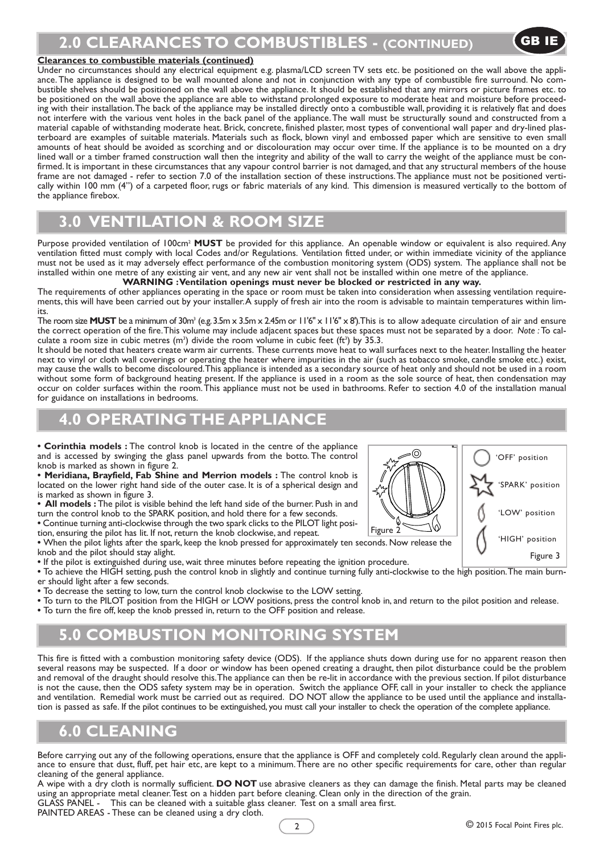#### **Clearances to combustible materials (continued)**

Under no circumstances should any electrical equipment e.g. plasma/LCD screen TV sets etc. be positioned on the wall above the appliance.The appliance is designed to be wall mounted alone and not in conjunction with any type of combustible fire surround. No combustible shelves should be positioned on the wall above the appliance. It should be established that any mirrors or picture frames etc. to be positioned on the wall above the appliance are able to withstand prolonged exposure to moderate heat and moisture before proceeding with their installation.The back of the appliance may be installed directly onto a combustible wall, providing it is relatively flat and does not interfere with the various vent holes in the back panel of the appliance.The wall must be structurally sound and constructed from a material capable of withstanding moderate heat. Brick, concrete, finished plaster, most types of conventional wall paper and dry-lined plasterboard are examples of suitable materials. Materials such as flock, blown vinyl and embossed paper which are sensitive to even small amounts of heat should be avoided as scorching and or discolouration may occur over time. If the appliance is to be mounted on a dry lined wall or a timber framed construction wall then the integrity and ability of the wall to carry the weight of the appliance must be confirmed. It is important in these circumstances that any vapour control barrier is not damaged, and that any structural members of the house frame are not damaged - refer to section 7.0 of the installation section of these instructions.The appliance must not be positioned vertically within 100 mm (4") of a carpeted floor, rugs or fabric materials of any kind. This dimension is measured vertically to the bottom of the appliance firebox.

# **3.0 VENTILATION & ROOM SIZE**

Purpose provided ventilation of 100cm2 **MUST** be provided for this appliance. An openable window or equivalent is also required.Any ventilation fitted must comply with local Codes and/or Regulations. Ventilation fitted under, or within immediate vicinity of the appliance must not be used as it may adversely effect performance of the combustion monitoring system (ODS) system. The appliance shall not be installed within one metre of any existing air vent, and any new air vent shall not be installed within one metre of the appliance.

**WARNING :Ventilation openings must never be blocked or restricted in any way.**

The requirements of other appliances operating in the space or room must be taken into consideration when assessing ventilation requirements, this will have been carried out by your installer.A supply of fresh air into the room is advisable to maintain temperatures within limits.

The room size **MUST** be a minimum of 30m<sup>3</sup> (e.g. 3.5m x 3.5m x 2.45m or 11'6" x 11'6" x 8').This is to allow adequate circulation of air and ensure the correct operation of the fire.This volume may include adjacent spaces but these spaces must not be separated by a door. *Note :*To calculate a room size in cubic metres  $(m^3)$  divide the room volume in cubic feet (ft<sup>3</sup>) by 35.3.

It should be noted that heaters create warm air currents. These currents move heat to wall surfaces next to the heater. Installing the heater next to vinyl or cloth wall coverings or operating the heater where impurities in the air (such as tobacco smoke, candle smoke etc.) exist, may cause the walls to become discoloured.This appliance is intended as a secondary source of heat only and should not be used in a room without some form of background heating present. If the appliance is used in a room as the sole source of heat, then condensation may occur on colder surfaces within the room.This appliance must not be used in bathrooms. Refer to section 4.0 of the installation manual for guidance on installations in bedrooms.

#### **4.0 OPERATING THE APPLIANCE** C

**• Corinthia models :** The control knob is located in the centre of the appliance and is accessed by swinging the glass panel upwards from the botto. The control knob is marked as shown in figure 2.

**• Meridiana, Brayfield, Fab Shine and Merrion models :** The control knob is located on the lower right hand side of the outer case. It is of a spherical design and is marked as shown in figure 3.

**• All models :** The pilot is visible behind the left hand side of the burner. Push in and turn the control knob to the SPARK position, and hold there for a few seconds. B

**•** Continue turning anti-clockwise through the two spark clicks to the PILOT light position, ensuring the pilot has lit. If not, return the knob clockwise, and repeat.

**•** When the pilot lights after the spark, keep the knob pressed for approximately ten seconds. Now release the knob and the pilot should stay alight.

**•** If the pilot is extinguished during use, wait three minutes before repeating the ignition procedure.

**•** To achieve the HIGH setting, push the control knob in slightly and continue turning fully anti-clockwise to the high position.The main burner should light after a few seconds.

**•** To decrease the setting to low, turn the control knob clockwise to the LOW setting.

• To turn to the PILOT position from the HIGH or LOW positions, press the control knob in, and return to the pilot position and release.

 $\bullet$  To turn the fire off, keep the knob pressed in, return to the OFF position and release.

## **5.0 COMBUSTION MONITORING SYSTEM**

This fire is fitted with a combustion monitoring safety device (ODS). If the appliance shuts down during use for no apparent reason then several reasons may be suspected. If a door or window has been opened creating a draught, then pilot disturbance could be the problem and removal of the draught should resolve this.The appliance can then be re-lit in accordance with the previous section. If pilot disturbance is not the cause, then the ODS safety system may be in operation. Switch the appliance OFF, call in your installer to check the appliance and ventilation. Remedial work must be carried out as required. DO NOT allow the appliance to be used until the appliance and installation is passed as safe. If the pilot continues to be extinguished, you must call your installer to check the operation of the complete appliance.

#### **6.0 CLEANING**

Before carrying out any of the following operations, ensure that the appliance is OFF and completely cold. Regularly clean around the appliance to ensure that dust, fluff, pet hair etc, are kept to a minimum.There are no other specific requirements for care, other than regular cleaning of the general appliance.

A wipe with a dry cloth is normally sufficient. **DO NOT** use abrasive cleaners as they can damage the finish. Metal parts may be cleaned using an appropriate metal cleaner.Test on a hidden part before cleaning. Clean only in the direction of the grain. GLASS PANEL - This can be cleaned with a suitable glass cleaner. Test on a small area first.

PAINTED AREAS - These can be cleaned using a dry cloth.